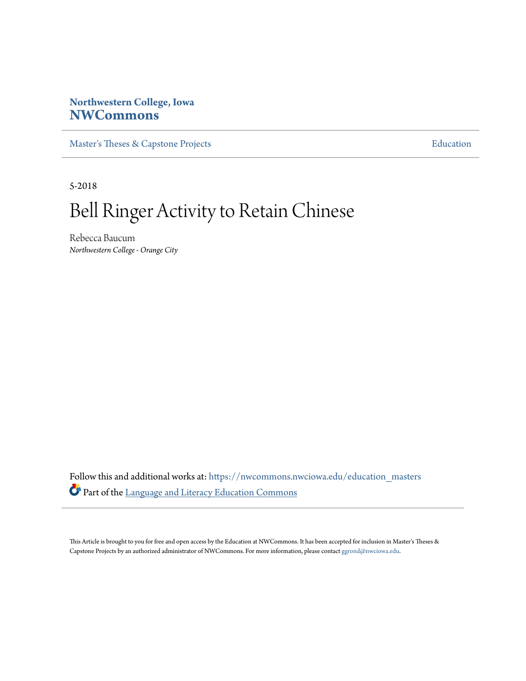# **Northwestern College, Iowa [NWCommons](https://nwcommons.nwciowa.edu?utm_source=nwcommons.nwciowa.edu%2Feducation_masters%2F90&utm_medium=PDF&utm_campaign=PDFCoverPages)**

[Master's Theses & Capstone Projects](https://nwcommons.nwciowa.edu/education_masters?utm_source=nwcommons.nwciowa.edu%2Feducation_masters%2F90&utm_medium=PDF&utm_campaign=PDFCoverPages) **[Education](https://nwcommons.nwciowa.edu/education?utm_source=nwcommons.nwciowa.edu%2Feducation_masters%2F90&utm_medium=PDF&utm_campaign=PDFCoverPages)** 

5-2018

# Bell Ringer Activity to Retain Chinese

Rebecca Baucum *Northwestern College - Orange City*

Follow this and additional works at: [https://nwcommons.nwciowa.edu/education\\_masters](https://nwcommons.nwciowa.edu/education_masters?utm_source=nwcommons.nwciowa.edu%2Feducation_masters%2F90&utm_medium=PDF&utm_campaign=PDFCoverPages) Part of the [Language and Literacy Education Commons](http://network.bepress.com/hgg/discipline/1380?utm_source=nwcommons.nwciowa.edu%2Feducation_masters%2F90&utm_medium=PDF&utm_campaign=PDFCoverPages)

This Article is brought to you for free and open access by the Education at NWCommons. It has been accepted for inclusion in Master's Theses & Capstone Projects by an authorized administrator of NWCommons. For more information, please contact [ggrond@nwciowa.edu.](mailto:ggrond@nwciowa.edu)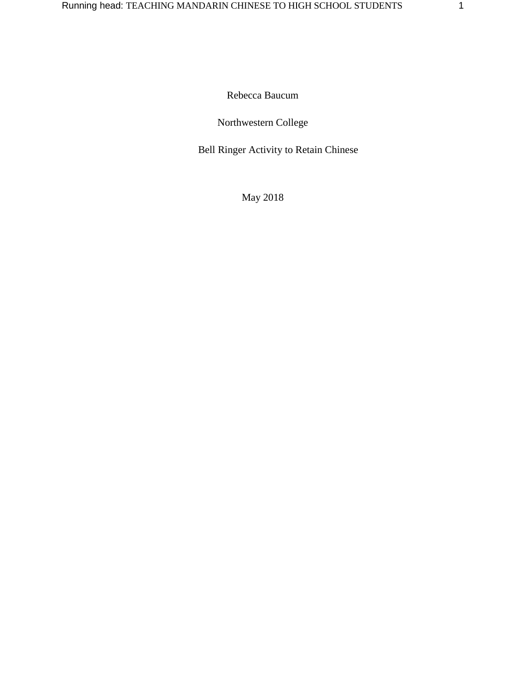Rebecca Baucum

# Northwestern College

Bell Ringer Activity to Retain Chinese

May 2018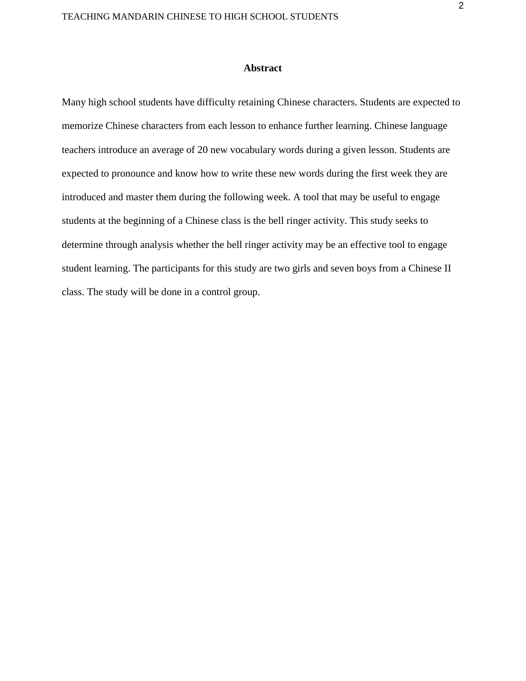#### **Abstract**

Many high school students have difficulty retaining Chinese characters. Students are expected to memorize Chinese characters from each lesson to enhance further learning. Chinese language teachers introduce an average of 20 new vocabulary words during a given lesson. Students are expected to pronounce and know how to write these new words during the first week they are introduced and master them during the following week. A tool that may be useful to engage students at the beginning of a Chinese class is the bell ringer activity. This study seeks to determine through analysis whether the bell ringer activity may be an effective tool to engage student learning. The participants for this study are two girls and seven boys from a Chinese II class. The study will be done in a control group.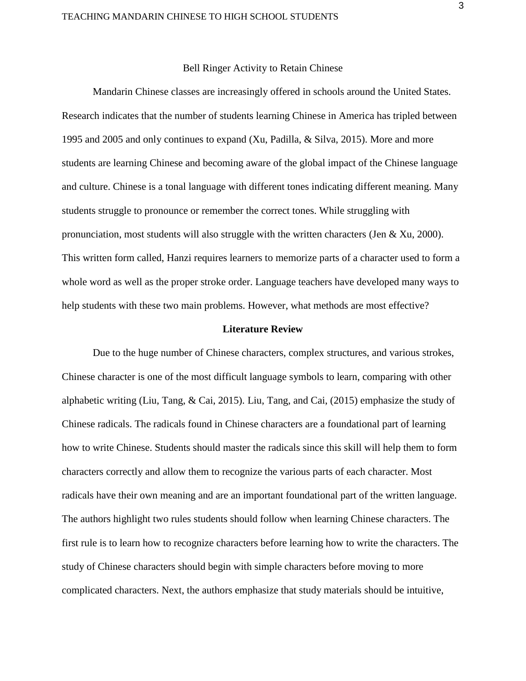#### Bell Ringer Activity to Retain Chinese

Mandarin Chinese classes are increasingly offered in schools around the United States. Research indicates that the number of students learning Chinese in America has tripled between 1995 and 2005 and only continues to expand (Xu, Padilla, & Silva, 2015). More and more students are learning Chinese and becoming aware of the global impact of the Chinese language and culture. Chinese is a tonal language with different tones indicating different meaning. Many students struggle to pronounce or remember the correct tones. While struggling with pronunciation, most students will also struggle with the written characters (Jen & Xu, 2000). This written form called, Hanzi requires learners to memorize parts of a character used to form a whole word as well as the proper stroke order. Language teachers have developed many ways to help students with these two main problems. However, what methods are most effective?

#### **Literature Review**

Due to the huge number of Chinese characters, complex structures, and various strokes, Chinese character is one of the most difficult language symbols to learn, comparing with other alphabetic writing (Liu, Tang, & Cai, 2015). Liu, Tang, and Cai, (2015) emphasize the study of Chinese radicals. The radicals found in Chinese characters are a foundational part of learning how to write Chinese. Students should master the radicals since this skill will help them to form characters correctly and allow them to recognize the various parts of each character. Most radicals have their own meaning and are an important foundational part of the written language. The authors highlight two rules students should follow when learning Chinese characters. The first rule is to learn how to recognize characters before learning how to write the characters. The study of Chinese characters should begin with simple characters before moving to more complicated characters. Next, the authors emphasize that study materials should be intuitive,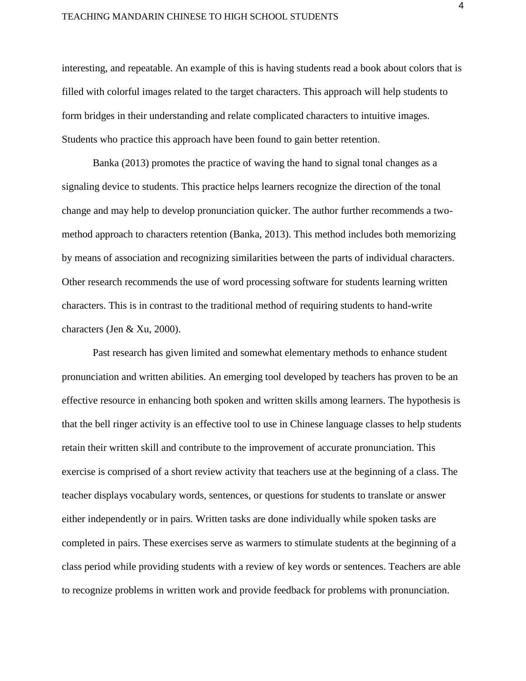#### TEACHING MANDARIN CHINESE TO HIGH SCHOOL STUDENTS

interesting, and repeatable. An example of this is having students read a book about colors that is filled with colorful images related to the target characters. This approach will help students to form bridges in their understanding and relate complicated characters to intuitive images. Students who practice this approach have been found to gain better retention.

Banka (2013) promotes the practice of waving the hand to signal tonal changes as a signaling device to students. This practice helps learners recognize the direction of the tonal change and may help to develop pronunciation quicker. The author further recommends a twomethod approach to characters retention (Banka, 2013). This method includes both memorizing by means of association and recognizing similarities between the parts of individual characters. Other research recommends the use of word processing software for students learning written characters. This is in contrast to the traditional method of requiring students to hand-write characters (Jen & Xu, 2000).

 Past research has given limited and somewhat elementary methods to enhance student pronunciation and written abilities. An emerging tool developed by teachers has proven to be an effective resource in enhancing both spoken and written skills among learners. The hypothesis is that the bell ringer activity is an effective tool to use in Chinese language classes to help students retain their written skill and contribute to the improvement of accurate pronunciation. This exercise is comprised of a short review activity that teachers use at the beginning of a class. The teacher displays vocabulary words, sentences, or questions for students to translate or answer either independently or in pairs. Written tasks are done individually while spoken tasks are completed in pairs. These exercises serve as warmers to stimulate students at the beginning of a class period while providing students with a review of key words or sentences. Teachers are able to recognize problems in written work and provide feedback for problems with pronunciation.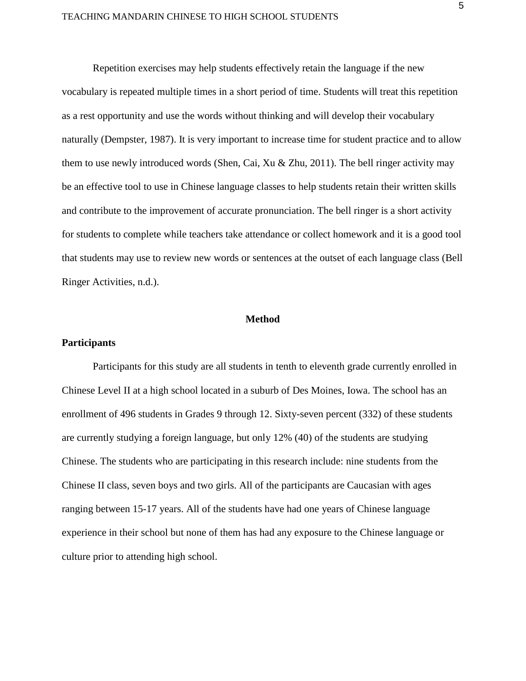Repetition exercises may help students effectively retain the language if the new vocabulary is repeated multiple times in a short period of time. Students will treat this repetition as a rest opportunity and use the words without thinking and will develop their vocabulary naturally (Dempster, 1987). It is very important to increase time for student practice and to allow them to use newly introduced words (Shen, Cai, Xu & Zhu, 2011). The bell ringer activity may be an effective tool to use in Chinese language classes to help students retain their written skills and contribute to the improvement of accurate pronunciation. The bell ringer is a short activity for students to complete while teachers take attendance or collect homework and it is a good tool that students may use to review new words or sentences at the outset of each language class (Bell Ringer Activities, n.d.).

#### **Method**

#### **Participants**

Participants for this study are all students in tenth to eleventh grade currently enrolled in Chinese Level II at a high school located in a suburb of Des Moines, Iowa. The school has an enrollment of 496 students in Grades 9 through 12. Sixty-seven percent (332) of these students are currently studying a foreign language, but only 12% (40) of the students are studying Chinese. The students who are participating in this research include: nine students from the Chinese II class, seven boys and two girls. All of the participants are Caucasian with ages ranging between 15-17 years. All of the students have had one years of Chinese language experience in their school but none of them has had any exposure to the Chinese language or culture prior to attending high school.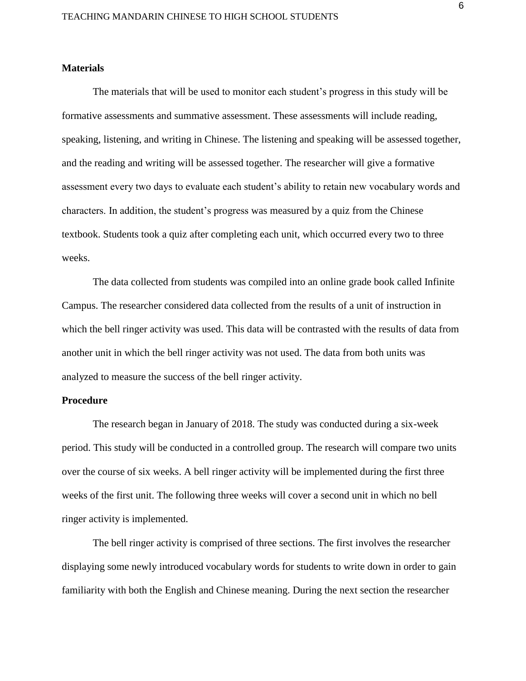#### **Materials**

The materials that will be used to monitor each student's progress in this study will be formative assessments and summative assessment. These assessments will include reading, speaking, listening, and writing in Chinese. The listening and speaking will be assessed together, and the reading and writing will be assessed together. The researcher will give a formative assessment every two days to evaluate each student's ability to retain new vocabulary words and characters. In addition, the student's progress was measured by a quiz from the Chinese textbook. Students took a quiz after completing each unit, which occurred every two to three weeks.

The data collected from students was compiled into an online grade book called Infinite Campus. The researcher considered data collected from the results of a unit of instruction in which the bell ringer activity was used. This data will be contrasted with the results of data from another unit in which the bell ringer activity was not used. The data from both units was analyzed to measure the success of the bell ringer activity.

#### **Procedure**

The research began in January of 2018. The study was conducted during a six-week period. This study will be conducted in a controlled group. The research will compare two units over the course of six weeks. A bell ringer activity will be implemented during the first three weeks of the first unit. The following three weeks will cover a second unit in which no bell ringer activity is implemented.

The bell ringer activity is comprised of three sections. The first involves the researcher displaying some newly introduced vocabulary words for students to write down in order to gain familiarity with both the English and Chinese meaning. During the next section the researcher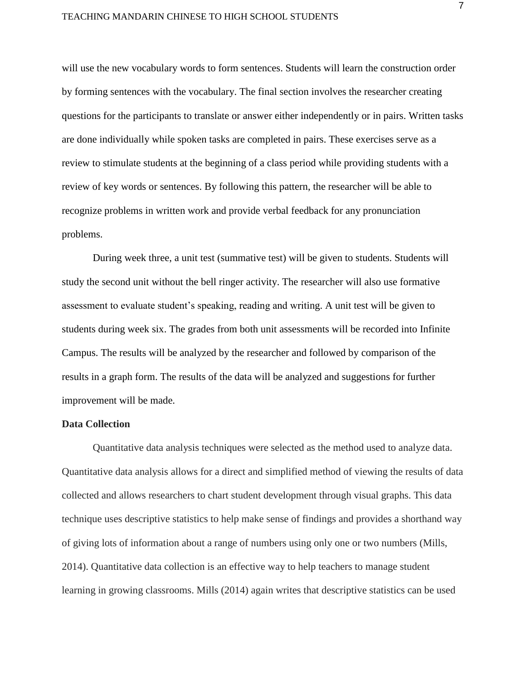#### TEACHING MANDARIN CHINESE TO HIGH SCHOOL STUDENTS

will use the new vocabulary words to form sentences. Students will learn the construction order by forming sentences with the vocabulary. The final section involves the researcher creating questions for the participants to translate or answer either independently or in pairs. Written tasks are done individually while spoken tasks are completed in pairs. These exercises serve as a review to stimulate students at the beginning of a class period while providing students with a review of key words or sentences. By following this pattern, the researcher will be able to recognize problems in written work and provide verbal feedback for any pronunciation problems.

During week three, a unit test (summative test) will be given to students. Students will study the second unit without the bell ringer activity. The researcher will also use formative assessment to evaluate student's speaking, reading and writing. A unit test will be given to students during week six. The grades from both unit assessments will be recorded into Infinite Campus. The results will be analyzed by the researcher and followed by comparison of the results in a graph form. The results of the data will be analyzed and suggestions for further improvement will be made.

#### **Data Collection**

Quantitative data analysis techniques were selected as the method used to analyze data. Quantitative data analysis allows for a direct and simplified method of viewing the results of data collected and allows researchers to chart student development through visual graphs. This data technique uses descriptive statistics to help make sense of findings and provides a shorthand way of giving lots of information about a range of numbers using only one or two numbers (Mills, 2014). Quantitative data collection is an effective way to help teachers to manage student learning in growing classrooms. Mills (2014) again writes that descriptive statistics can be used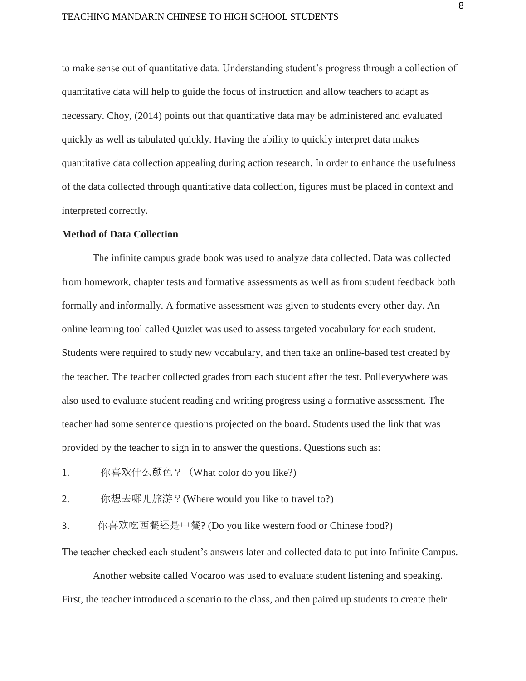#### TEACHING MANDARIN CHINESE TO HIGH SCHOOL STUDENTS

to make sense out of quantitative data. Understanding student's progress through a collection of quantitative data will help to guide the focus of instruction and allow teachers to adapt as necessary. Choy, (2014) points out that quantitative data may be administered and evaluated quickly as well as tabulated quickly. Having the ability to quickly interpret data makes quantitative data collection appealing during action research. In order to enhance the usefulness of the data collected through quantitative data collection, figures must be placed in context and interpreted correctly.

#### **Method of Data Collection**

The infinite campus grade book was used to analyze data collected. Data was collected from homework, chapter tests and formative assessments as well as from student feedback both formally and informally. A formative assessment was given to students every other day. An online learning tool called Quizlet was used to assess targeted vocabulary for each student. Students were required to study new vocabulary, and then take an online-based test created by the teacher. The teacher collected grades from each student after the test. Polleverywhere was also used to evaluate student reading and writing progress using a formative assessment. The teacher had some sentence questions projected on the board. Students used the link that was provided by the teacher to sign in to answer the questions. Questions such as:

- 1. 你喜欢什么颜色?(What color do you like?)
- 2. 你想去哪儿旅游?(Where would you like to travel to?)
- 3. 你喜欢吃西餐还是中餐? (Do you like western food or Chinese food?)

The teacher checked each student's answers later and collected data to put into Infinite Campus.

Another website called Vocaroo was used to evaluate student listening and speaking. First, the teacher introduced a scenario to the class, and then paired up students to create their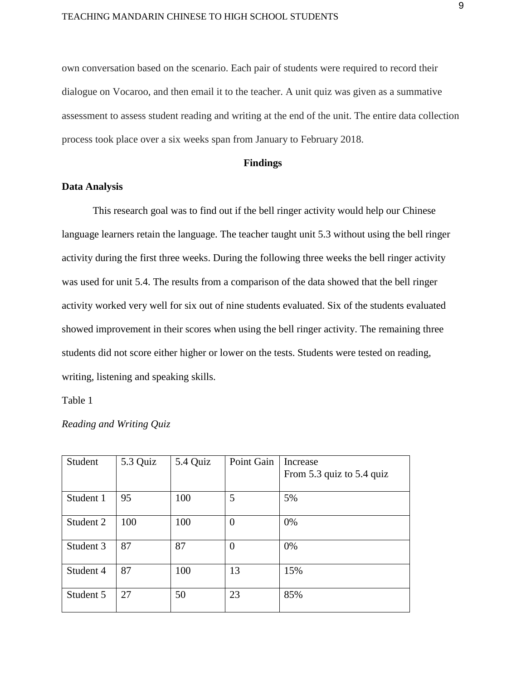own conversation based on the scenario. Each pair of students were required to record their dialogue on Vocaroo, and then email it to the teacher. A unit quiz was given as a summative assessment to assess student reading and writing at the end of the unit. The entire data collection process took place over a six weeks span from January to February 2018.

#### **Findings**

#### **Data Analysis**

This research goal was to find out if the bell ringer activity would help our Chinese language learners retain the language. The teacher taught unit 5.3 without using the bell ringer activity during the first three weeks. During the following three weeks the bell ringer activity was used for unit 5.4. The results from a comparison of the data showed that the bell ringer activity worked very well for six out of nine students evaluated. Six of the students evaluated showed improvement in their scores when using the bell ringer activity. The remaining three students did not score either higher or lower on the tests. Students were tested on reading, writing, listening and speaking skills.

Table 1

*Reading and Writing Quiz*

| Student   | 5.3 Quiz | 5.4 Quiz | Point Gain     | Increase<br>From 5.3 quiz to 5.4 quiz |
|-----------|----------|----------|----------------|---------------------------------------|
|           |          |          |                |                                       |
| Student 1 | 95       | 100      | 5              | 5%                                    |
| Student 2 | 100      | 100      | $\overline{0}$ | 0%                                    |
| Student 3 | 87       | 87       | $\theta$       | 0%                                    |
| Student 4 | 87       | 100      | 13             | 15%                                   |
| Student 5 | 27       | 50       | 23             | 85%                                   |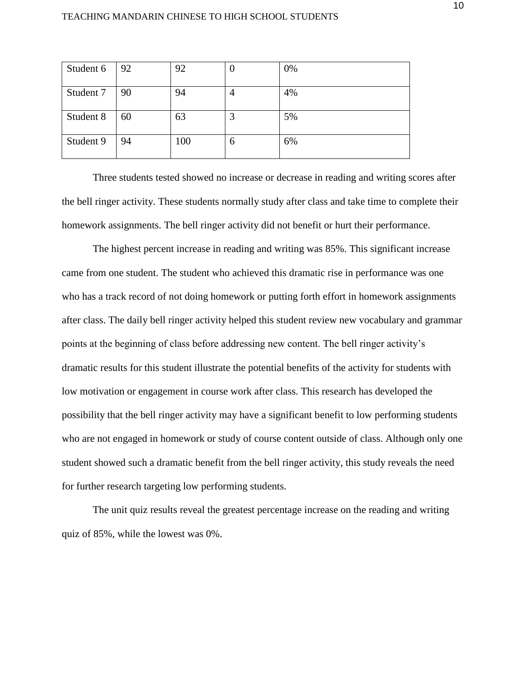| Student 6 | 92 | 92  | $\boldsymbol{0}$ | 0% |
|-----------|----|-----|------------------|----|
| Student 7 | 90 | 94  | 4                | 4% |
| Student 8 | 60 | 63  | 3                | 5% |
| Student 9 | 94 | 100 | 6                | 6% |

Three students tested showed no increase or decrease in reading and writing scores after the bell ringer activity. These students normally study after class and take time to complete their homework assignments. The bell ringer activity did not benefit or hurt their performance.

The highest percent increase in reading and writing was 85%. This significant increase came from one student. The student who achieved this dramatic rise in performance was one who has a track record of not doing homework or putting forth effort in homework assignments after class. The daily bell ringer activity helped this student review new vocabulary and grammar points at the beginning of class before addressing new content. The bell ringer activity's dramatic results for this student illustrate the potential benefits of the activity for students with low motivation or engagement in course work after class. This research has developed the possibility that the bell ringer activity may have a significant benefit to low performing students who are not engaged in homework or study of course content outside of class. Although only one student showed such a dramatic benefit from the bell ringer activity, this study reveals the need for further research targeting low performing students.

The unit quiz results reveal the greatest percentage increase on the reading and writing quiz of 85%, while the lowest was 0%.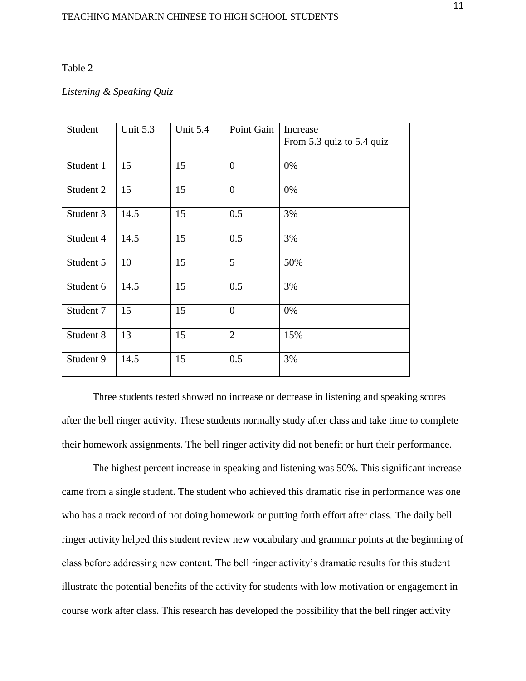#### Table 2

### *Listening & Speaking Quiz*

| Student   | Unit 5.3 | Unit 5.4 | Point Gain     | Increase                  |
|-----------|----------|----------|----------------|---------------------------|
|           |          |          |                | From 5.3 quiz to 5.4 quiz |
| Student 1 | 15       | 15       | $\overline{0}$ | 0%                        |
|           |          |          |                |                           |
| Student 2 | 15       | 15       | $\overline{0}$ | 0%                        |
| Student 3 | 14.5     | 15       | 0.5            | 3%                        |
| Student 4 | 14.5     | 15       | 0.5            | 3%                        |
| Student 5 | 10       | 15       | 5              | 50%                       |
| Student 6 | 14.5     | 15       | 0.5            | 3%                        |
| Student 7 | 15       | 15       | $\overline{0}$ | 0%                        |
| Student 8 | 13       | 15       | $\overline{2}$ | 15%                       |
| Student 9 | 14.5     | 15       | 0.5            | 3%                        |

Three students tested showed no increase or decrease in listening and speaking scores after the bell ringer activity. These students normally study after class and take time to complete their homework assignments. The bell ringer activity did not benefit or hurt their performance.

The highest percent increase in speaking and listening was 50%. This significant increase came from a single student. The student who achieved this dramatic rise in performance was one who has a track record of not doing homework or putting forth effort after class. The daily bell ringer activity helped this student review new vocabulary and grammar points at the beginning of class before addressing new content. The bell ringer activity's dramatic results for this student illustrate the potential benefits of the activity for students with low motivation or engagement in course work after class. This research has developed the possibility that the bell ringer activity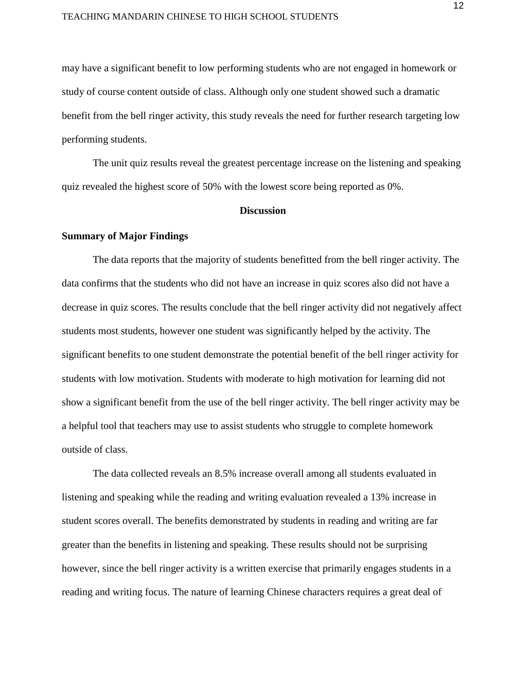#### TEACHING MANDARIN CHINESE TO HIGH SCHOOL STUDENTS

may have a significant benefit to low performing students who are not engaged in homework or study of course content outside of class. Although only one student showed such a dramatic benefit from the bell ringer activity, this study reveals the need for further research targeting low performing students.

The unit quiz results reveal the greatest percentage increase on the listening and speaking quiz revealed the highest score of 50% with the lowest score being reported as 0%.

#### **Discussion**

#### **Summary of Major Findings**

The data reports that the majority of students benefitted from the bell ringer activity. The data confirms that the students who did not have an increase in quiz scores also did not have a decrease in quiz scores. The results conclude that the bell ringer activity did not negatively affect students most students, however one student was significantly helped by the activity. The significant benefits to one student demonstrate the potential benefit of the bell ringer activity for students with low motivation. Students with moderate to high motivation for learning did not show a significant benefit from the use of the bell ringer activity. The bell ringer activity may be a helpful tool that teachers may use to assist students who struggle to complete homework outside of class.

The data collected reveals an 8.5% increase overall among all students evaluated in listening and speaking while the reading and writing evaluation revealed a 13% increase in student scores overall. The benefits demonstrated by students in reading and writing are far greater than the benefits in listening and speaking. These results should not be surprising however, since the bell ringer activity is a written exercise that primarily engages students in a reading and writing focus. The nature of learning Chinese characters requires a great deal of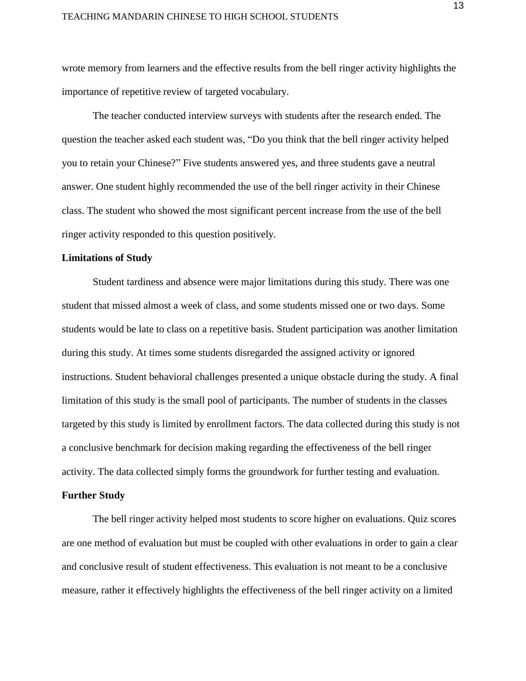wrote memory from learners and the effective results from the bell ringer activity highlights the importance of repetitive review of targeted vocabulary.

The teacher conducted interview surveys with students after the research ended. The question the teacher asked each student was, "Do you think that the bell ringer activity helped you to retain your Chinese?" Five students answered yes, and three students gave a neutral answer. One student highly recommended the use of the bell ringer activity in their Chinese class. The student who showed the most significant percent increase from the use of the bell ringer activity responded to this question positively.

#### **Limitations of Study**

Student tardiness and absence were major limitations during this study. There was one student that missed almost a week of class, and some students missed one or two days. Some students would be late to class on a repetitive basis. Student participation was another limitation during this study. At times some students disregarded the assigned activity or ignored instructions. Student behavioral challenges presented a unique obstacle during the study. A final limitation of this study is the small pool of participants. The number of students in the classes targeted by this study is limited by enrollment factors. The data collected during this study is not a conclusive benchmark for decision making regarding the effectiveness of the bell ringer activity. The data collected simply forms the groundwork for further testing and evaluation.

#### **Further Study**

The bell ringer activity helped most students to score higher on evaluations. Quiz scores are one method of evaluation but must be coupled with other evaluations in order to gain a clear and conclusive result of student effectiveness. This evaluation is not meant to be a conclusive measure, rather it effectively highlights the effectiveness of the bell ringer activity on a limited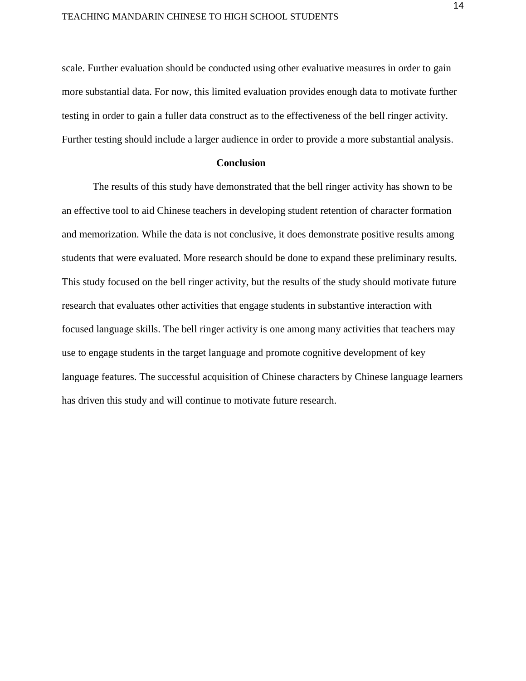scale. Further evaluation should be conducted using other evaluative measures in order to gain more substantial data. For now, this limited evaluation provides enough data to motivate further testing in order to gain a fuller data construct as to the effectiveness of the bell ringer activity. Further testing should include a larger audience in order to provide a more substantial analysis.

#### **Conclusion**

The results of this study have demonstrated that the bell ringer activity has shown to be an effective tool to aid Chinese teachers in developing student retention of character formation and memorization. While the data is not conclusive, it does demonstrate positive results among students that were evaluated. More research should be done to expand these preliminary results. This study focused on the bell ringer activity, but the results of the study should motivate future research that evaluates other activities that engage students in substantive interaction with focused language skills. The bell ringer activity is one among many activities that teachers may use to engage students in the target language and promote cognitive development of key language features. The successful acquisition of Chinese characters by Chinese language learners has driven this study and will continue to motivate future research.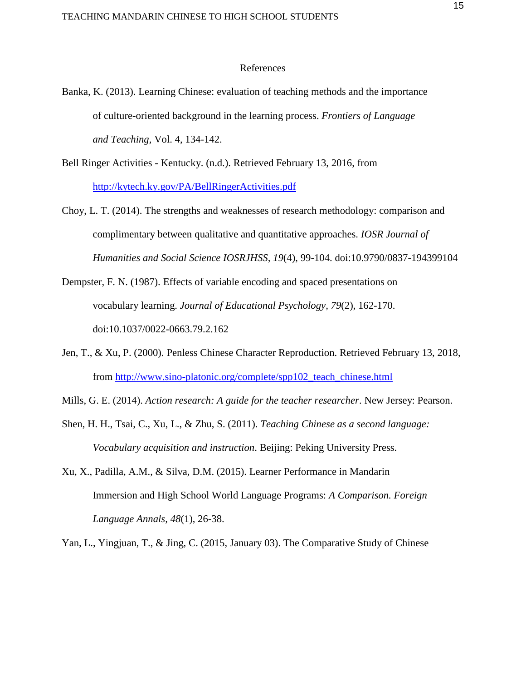#### References

- Banka, K. (2013). Learning Chinese: evaluation of teaching methods and the importance of culture-oriented background in the learning process. *Frontiers of Language and Teaching,* Vol. 4, 134-142.
- Bell Ringer Activities Kentucky. (n.d.). Retrieved February 13, 2016, from <http://kytech.ky.gov/PA/BellRingerActivities.pdf>
- Choy, L. T. (2014). The strengths and weaknesses of research methodology: comparison and complimentary between qualitative and quantitative approaches. *IOSR Journal of Humanities and Social Science IOSRJHSS, 19*(4), 99-104. doi:10.9790/0837-194399104
- Dempster, F. N. (1987). Effects of variable encoding and spaced presentations on vocabulary learning. *Journal of Educational Psychology, 79*(2), 162-170. doi:10.1037/0022-0663.79.2.162
- Jen, T., & Xu, P. (2000). Penless Chinese Character Reproduction. Retrieved February 13, 2018, from [http://www.sino-platonic.org/complete/spp102\\_teach\\_chinese.html](http://www.sino-platonic.org/complete/spp102_teach_chinese.html)
- Mills, G. E. (2014). *Action research: A guide for the teacher researcher*. New Jersey: Pearson.
- Shen, H. H., Tsai, C., Xu, L., & Zhu, S. (2011). *Teaching Chinese as a second language: Vocabulary acquisition and instruction*. Beijing: Peking University Press.
- Xu, X., Padilla, A.M., & Silva, D.M. (2015). Learner Performance in Mandarin Immersion and High School World Language Programs: *A Comparison. Foreign Language Annals, 48*(1), 26-38.

Yan, L., Yingjuan, T., & Jing, C. (2015, January 03). The Comparative Study of Chinese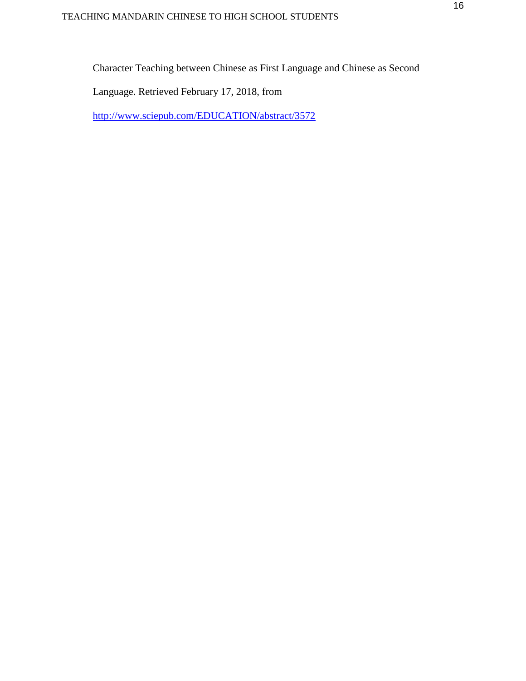Character Teaching between Chinese as First Language and Chinese as Second

Language. Retrieved February 17, 2018, from

<http://www.sciepub.com/EDUCATION/abstract/3572>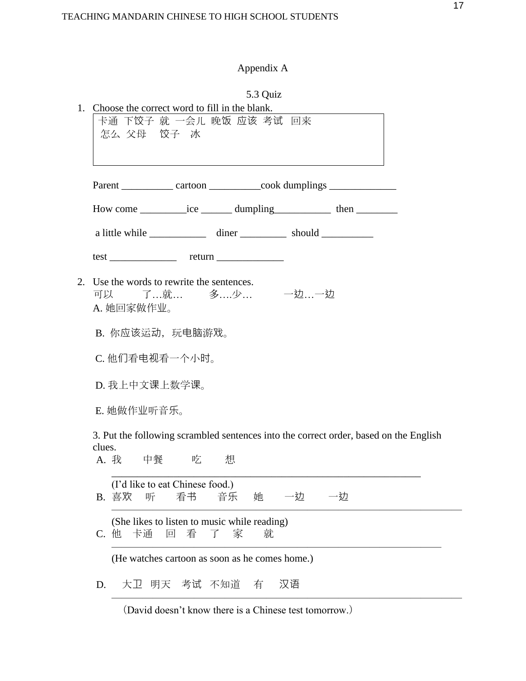# Appendix A

|             | 5.3 Quiz<br>1. Choose the correct word to fill in the blank.<br>卡通 下饺子 就 一会儿 晚饭 应该 考试 回来<br>怎么 父母 饺子 冰  |
|-------------|---------------------------------------------------------------------------------------------------------|
|             | Parent _____________ cartoon _____________cook dumplings _______________________                        |
|             | How come ____________ice _________ dumpling_______________ then ________________                        |
|             |                                                                                                         |
|             | $test$ $return$                                                                                         |
|             | 2. Use the words to rewrite the sentences.<br>可以 了…就… 多….少… 一边…一边<br>A. 她回家做作业。                         |
|             | B. 你应该运动, 玩电脑游戏。                                                                                        |
|             | C. 他们看电视看一个小时。                                                                                          |
|             | D. 我上中文课上数学课。                                                                                           |
|             | E. 她做作业听音乐。                                                                                             |
| clues.      | 3. Put the following scrambled sentences into the correct order, based on the English<br>A. 我 中餐 吃<br>想 |
|             | (I'd like to eat Chinese food.)<br>看书<br>音乐<br>B. 喜欢<br>听<br>她<br>一边<br>一边                              |
| $C_{\cdot}$ | (She likes to listen to music while reading)<br>他 卡通<br>看<br>家<br>回<br>就<br>了                           |
|             | (He watches cartoon as soon as he comes home.)                                                          |
| D.          | 大卫 明天 考试 不知道<br>汉语<br>有                                                                                 |

(David doesn't know there is a Chinese test tomorrow.)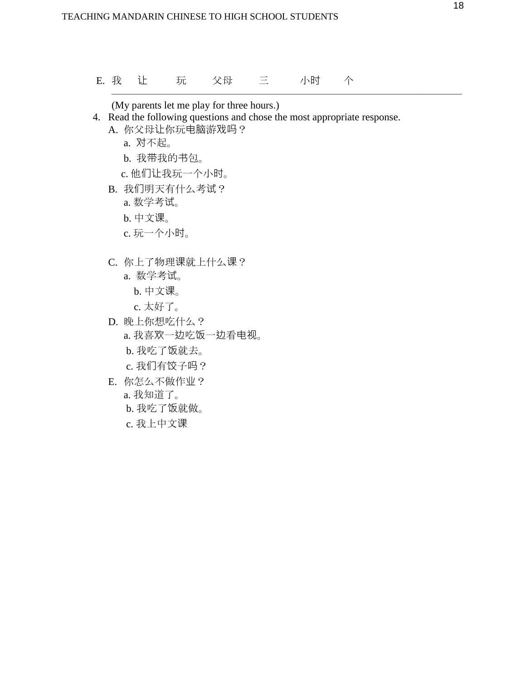E. 我 让 玩 父母 三 小时 个

(My parents let me play for three hours.)

4. Read the following questions and chose the most appropriate response. A. 你父母让你玩电脑游戏吗?

 $\frac{1}{\sqrt{2}}$  ,  $\frac{1}{\sqrt{2}}$  ,  $\frac{1}{\sqrt{2}}$  ,  $\frac{1}{\sqrt{2}}$  ,  $\frac{1}{\sqrt{2}}$  ,  $\frac{1}{\sqrt{2}}$  ,  $\frac{1}{\sqrt{2}}$  ,  $\frac{1}{\sqrt{2}}$  ,  $\frac{1}{\sqrt{2}}$  ,  $\frac{1}{\sqrt{2}}$  ,  $\frac{1}{\sqrt{2}}$  ,  $\frac{1}{\sqrt{2}}$  ,  $\frac{1}{\sqrt{2}}$  ,  $\frac{1}{\sqrt{2}}$  ,  $\frac{1}{\sqrt{2}}$ 

- - a. 对不起。
	- b. 我带我的书包。
	- c. 他们让我玩一个小时。
- B. 我们明天有什么考试?
	- a. 数学考试。
	- b. 中文课。
	- c. 玩一个小时。
- C. 你上了物理课就上什么课?
	- a. 数学考试。
		- b. 中文课。
		- c. 太好了。
- D. 晚上你想吃什么? a. 我喜欢一边吃饭一边看电视。 b. 我吃了饭就去。
	- c. 我们有饺子吗?
- E. 你怎么不做作业?
	- a. 我知道了。
	- b. 我吃了饭就做。
	- c. 我上中文课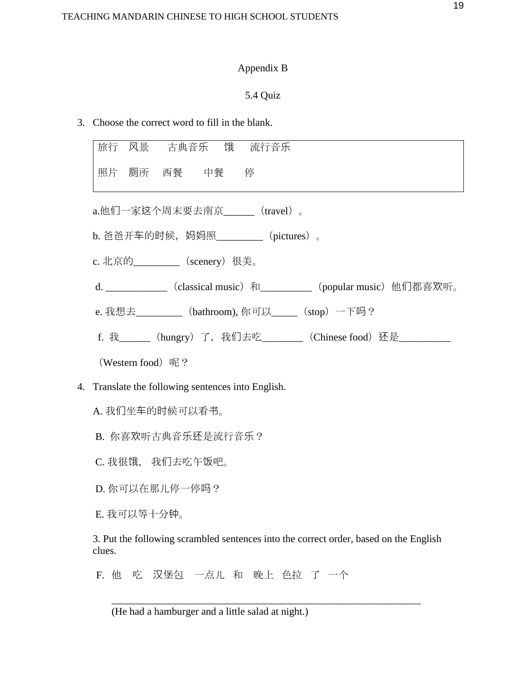## Appendix B

## 5.4 Quiz

3. Choose the correct word to fill in the blank.

|    | 旅行 风景 古典音乐 饿 流行音乐                                                        |
|----|--------------------------------------------------------------------------|
|    | 照片 厕所 西餐 中餐 停                                                            |
|    | a.他们一家这个周末要去南京______(travel)。                                            |
|    | b. 爸爸开车的时候, 妈妈照_________ (pictures)。                                     |
|    | c. 北京的__________ (scenery) 很美。                                           |
|    | d. ______________ (classical music) 和___________ (popular music) 他们都喜欢听。 |
|    | e. 我想去__________ (bathroom), 你可以_____ (stop) 一下吗?                        |
|    | f. 我_______ (hungry) 了, 我们去吃________ (Chinese food) 还是___________        |
|    | (Western food) 呢?                                                        |
| 4. | Translate the following sentences into English.                          |
|    | A. 我们坐车的时候可以看书。                                                          |
|    | B. 你喜欢听古典音乐还是流行音乐?                                                       |
|    | C. 我很饿, 我们去吃午饭吧。                                                         |

D. 你可以在那儿停一停吗?

E. 我可以等十分钟。

3. Put the following scrambled sentences into the correct order, based on the English clues.

\_\_\_\_\_\_\_\_\_\_\_\_\_\_\_\_\_\_\_\_\_\_\_\_\_\_\_\_\_\_\_\_\_\_\_\_\_\_\_\_\_\_\_\_\_\_\_\_\_\_\_\_\_\_\_\_\_\_\_\_

F. 他 吃 汉堡包 一点儿 和 晚上 色拉 了 一个

(He had a hamburger and a little salad at night.)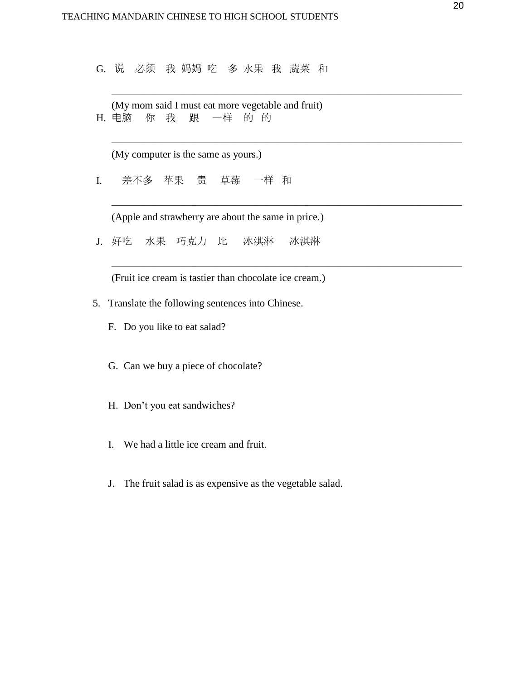G. 说 必须 我 妈妈 吃 多 水果 我 蔬菜 和

 $\frac{1}{\sqrt{2}}$  ,  $\frac{1}{\sqrt{2}}$  ,  $\frac{1}{\sqrt{2}}$  ,  $\frac{1}{\sqrt{2}}$  ,  $\frac{1}{\sqrt{2}}$  ,  $\frac{1}{\sqrt{2}}$  ,  $\frac{1}{\sqrt{2}}$  ,  $\frac{1}{\sqrt{2}}$  ,  $\frac{1}{\sqrt{2}}$  ,  $\frac{1}{\sqrt{2}}$  ,  $\frac{1}{\sqrt{2}}$  ,  $\frac{1}{\sqrt{2}}$  ,  $\frac{1}{\sqrt{2}}$  ,  $\frac{1}{\sqrt{2}}$  ,  $\frac{1}{\sqrt{2}}$ 

 $\frac{1}{\sqrt{2}}$  ,  $\frac{1}{\sqrt{2}}$  ,  $\frac{1}{\sqrt{2}}$  ,  $\frac{1}{\sqrt{2}}$  ,  $\frac{1}{\sqrt{2}}$  ,  $\frac{1}{\sqrt{2}}$  ,  $\frac{1}{\sqrt{2}}$  ,  $\frac{1}{\sqrt{2}}$  ,  $\frac{1}{\sqrt{2}}$  ,  $\frac{1}{\sqrt{2}}$  ,  $\frac{1}{\sqrt{2}}$  ,  $\frac{1}{\sqrt{2}}$  ,  $\frac{1}{\sqrt{2}}$  ,  $\frac{1}{\sqrt{2}}$  ,  $\frac{1}{\sqrt{2}}$ 

 $\frac{1}{\sqrt{2}}$  ,  $\frac{1}{\sqrt{2}}$  ,  $\frac{1}{\sqrt{2}}$  ,  $\frac{1}{\sqrt{2}}$  ,  $\frac{1}{\sqrt{2}}$  ,  $\frac{1}{\sqrt{2}}$  ,  $\frac{1}{\sqrt{2}}$  ,  $\frac{1}{\sqrt{2}}$  ,  $\frac{1}{\sqrt{2}}$  ,  $\frac{1}{\sqrt{2}}$  ,  $\frac{1}{\sqrt{2}}$  ,  $\frac{1}{\sqrt{2}}$  ,  $\frac{1}{\sqrt{2}}$  ,  $\frac{1}{\sqrt{2}}$  ,  $\frac{1}{\sqrt{2}}$ 

 $\frac{1}{\sqrt{2}}$  ,  $\frac{1}{\sqrt{2}}$  ,  $\frac{1}{\sqrt{2}}$  ,  $\frac{1}{\sqrt{2}}$  ,  $\frac{1}{\sqrt{2}}$  ,  $\frac{1}{\sqrt{2}}$  ,  $\frac{1}{\sqrt{2}}$  ,  $\frac{1}{\sqrt{2}}$  ,  $\frac{1}{\sqrt{2}}$  ,  $\frac{1}{\sqrt{2}}$  ,  $\frac{1}{\sqrt{2}}$  ,  $\frac{1}{\sqrt{2}}$  ,  $\frac{1}{\sqrt{2}}$  ,  $\frac{1}{\sqrt{2}}$  ,  $\frac{1}{\sqrt{2}}$ 

(My mom said I must eat more vegetable and fruit) H. 电脑 你 我 跟 一样 的 的

(My computer is the same as yours.)

I. 差不多 苹果 贵 草莓 一样 和

(Apple and strawberry are about the same in price.)

J. 好吃 水果 巧克力 比 冰淇淋 冰淇淋

(Fruit ice cream is tastier than chocolate ice cream.)

- 5. Translate the following sentences into Chinese.
	- F. Do you like to eat salad?
	- G. Can we buy a piece of chocolate?
	- H. Don't you eat sandwiches?
	- I. We had a little ice cream and fruit.
	- J. The fruit salad is as expensive as the vegetable salad.